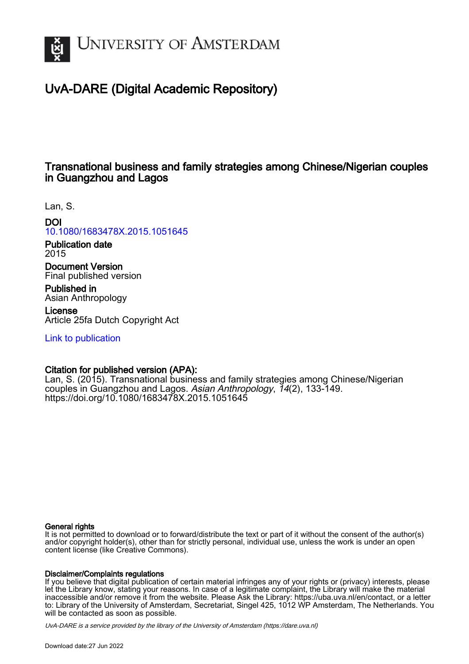

# UvA-DARE (Digital Academic Repository)

# Transnational business and family strategies among Chinese/Nigerian couples in Guangzhou and Lagos

Lan, S.

# DOI

# [10.1080/1683478X.2015.1051645](https://doi.org/10.1080/1683478X.2015.1051645)

Publication date 2015

Document Version Final published version

Published in Asian Anthropology

License Article 25fa Dutch Copyright Act

[Link to publication](https://dare.uva.nl/personal/pure/en/publications/transnational-business-and-family-strategies-among-chinesenigerian-couples-in-guangzhou-and-lagos(099b45c8-b04b-4d5f-87cc-c8cfffb93e2c).html)

# Citation for published version (APA):

Lan, S. (2015). Transnational business and family strategies among Chinese/Nigerian couples in Guangzhou and Lagos. Asian Anthropology, 14(2), 133-149. <https://doi.org/10.1080/1683478X.2015.1051645>

# General rights

It is not permitted to download or to forward/distribute the text or part of it without the consent of the author(s) and/or copyright holder(s), other than for strictly personal, individual use, unless the work is under an open content license (like Creative Commons).

# Disclaimer/Complaints regulations

If you believe that digital publication of certain material infringes any of your rights or (privacy) interests, please let the Library know, stating your reasons. In case of a legitimate complaint, the Library will make the material inaccessible and/or remove it from the website. Please Ask the Library: https://uba.uva.nl/en/contact, or a letter to: Library of the University of Amsterdam, Secretariat, Singel 425, 1012 WP Amsterdam, The Netherlands. You will be contacted as soon as possible.

UvA-DARE is a service provided by the library of the University of Amsterdam (http*s*://dare.uva.nl)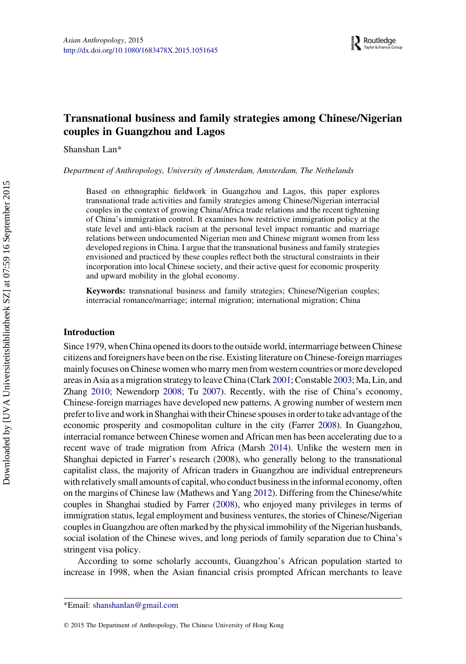# Transnational business and family strategies among Chinese/Nigerian couples in Guangzhou and Lagos

Shanshan Lan\*

Department of Anthropology, University of Amsterdam, Amsterdam, The Nethelands

Based on ethnographic fieldwork in Guangzhou and Lagos, this paper explores transnational trade activities and family strategies among Chinese/Nigerian interracial couples in the context of growing China/Africa trade relations and the recent tightening of China's immigration control. It examines how restrictive immigration policy at the state level and anti-black racism at the personal level impact romantic and marriage relations between undocumented Nigerian men and Chinese migrant women from less developed regions in China. I argue that the transnational business and family strategies envisioned and practiced by these couples reflect both the structural constraints in their incorporation into local Chinese society, and their active quest for economic prosperity and upward mobility in the global economy.

Keywords: transnational business and family strategies; Chinese/Nigerian couples; interracial romance/marriage; internal migration; international migration; China

## Introduction

Since 1979, when China opened its doors to the outside world, intermarriage between Chinese citizens and foreigners have been on the rise. Existing literature on Chinese-foreign marriages mainly focuses on Chinese women who marry men from western countries or more developed areas in Asia as a migration strategyto leave China (Clark [2001](#page-15-0); Constable [2003;](#page-15-0) Ma, Lin, and Zhang [2010](#page-16-0); Newendorp [2008](#page-16-0); Tu [2007\)](#page-17-0). Recently, with the rise of China's economy, Chinese-foreign marriages have developed new patterns. A growing number of western men preferto live and workin Shanghai withtheirChinese spouses in ordertotake advantage ofthe economic prosperity and cosmopolitan culture in the city (Farrer [2008](#page-16-0)). In Guangzhou, interracial romance between Chinese women and African men has been accelerating due to a recent wave of trade migration from Africa (Marsh [2014\)](#page-16-0). Unlike the western men in Shanghai depicted in Farrer's research (2008), who generally belong to the transnational capitalist class, the majority of African traders in Guangzhou are individual entrepreneurs with relatively small amounts of capital, who conduct business in the informal economy, often on the margins of Chinese law (Mathews and Yang [2012](#page-16-0)). Differing from the Chinese/white couples in Shanghai studied by Farrer ([2008](#page-16-0)), who enjoyed many privileges in terms of immigration status, legal employment and business ventures, the stories of Chinese/Nigerian couples in Guangzhou are often marked by the physical immobility of the Nigerian husbands, social isolation of the Chinese wives, and long periods of family separation due to China's stringent visa policy.

According to some scholarly accounts, Guangzhou's African population started to increase in 1998, when the Asian financial crisis prompted African merchants to leave

<sup>\*</sup>Email: [shanshanlan@gmail.com](mailto:shanshanlan@gmail.com)

 $Q$  2015 The Department of Anthropology, The Chinese University of Hong Kong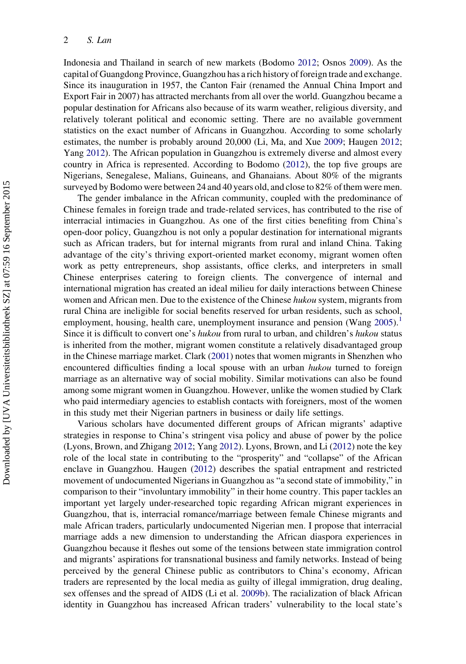Indonesia and Thailand in search of new markets (Bodomo [2012](#page-15-0); Osnos [2009\)](#page-16-0). As the capital of Guangdong Province, Guangzhou has a rich history of foreign trade and exchange. Since its inauguration in 1957, the Canton Fair (renamed the Annual China Import and Export Fair in 2007) has attracted merchants from all over the world. Guangzhou became a popular destination for Africans also because of its warm weather, religious diversity, and relatively tolerant political and economic setting. There are no available government statistics on the exact number of Africans in Guangzhou. According to some scholarly estimates, the number is probably around 20,000 (Li, Ma, and Xue [2009](#page-16-0); Haugen [2012](#page-16-0); Yang [2012](#page-17-0)). The African population in Guangzhou is extremely diverse and almost every country in Africa is represented. According to Bodomo ([2012\)](#page-15-0), the top five groups are Nigerians, Senegalese, Malians, Guineans, and Ghanaians. About 80% of the migrants surveyed by Bodomo were between 24 and 40 years old, and close to 82% of them were men.

The gender imbalance in the African community, coupled with the predominance of Chinese females in foreign trade and trade-related services, has contributed to the rise of interracial intimacies in Guangzhou. As one of the first cities benefiting from China's open-door policy, Guangzhou is not only a popular destination for international migrants such as African traders, but for internal migrants from rural and inland China. Taking advantage of the city's thriving export-oriented market economy, migrant women often work as petty entrepreneurs, shop assistants, office clerks, and interpreters in small Chinese enterprises catering to foreign clients. The convergence of internal and international migration has created an ideal milieu for daily interactions between Chinese women and African men. Due to the existence of the Chinese *hukou* system, migrants from rural China are ineligible for social benefits reserved for urban residents, such as school, employment, housing, health care, unemployment insurance and pension  $(Wang 2005)$  $(Wang 2005)$  $(Wang 2005)$ .<sup>[1](#page-15-0)</sup> Since it is difficult to convert one's hukou from rural to urban, and children's hukou status is inherited from the mother, migrant women constitute a relatively disadvantaged group in the Chinese marriage market. Clark ([2001\)](#page-15-0) notes that women migrants in Shenzhen who encountered difficulties finding a local spouse with an urban hukou turned to foreign marriage as an alternative way of social mobility. Similar motivations can also be found among some migrant women in Guangzhou. However, unlike the women studied by Clark who paid intermediary agencies to establish contacts with foreigners, most of the women in this study met their Nigerian partners in business or daily life settings.

Various scholars have documented different groups of African migrants' adaptive strategies in response to China's stringent visa policy and abuse of power by the police (Lyons, Brown, and Zhigang [2012;](#page-16-0) Yang [2012](#page-17-0)). Lyons, Brown, and Li [\(2012](#page-16-0)) note the key role of the local state in contributing to the "prosperity" and "collapse" of the African enclave in Guangzhou. Haugen [\(2012](#page-16-0)) describes the spatial entrapment and restricted movement of undocumented Nigerians in Guangzhou as "a second state of immobility," in comparison to their "involuntary immobility" in their home country. This paper tackles an important yet largely under-researched topic regarding African migrant experiences in Guangzhou, that is, interracial romance/marriage between female Chinese migrants and male African traders, particularly undocumented Nigerian men. I propose that interracial marriage adds a new dimension to understanding the African diaspora experiences in Guangzhou because it fleshes out some of the tensions between state immigration control and migrants' aspirations for transnational business and family networks. Instead of being perceived by the general Chinese public as contributors to China's economy, African traders are represented by the local media as guilty of illegal immigration, drug dealing, sex offenses and the spread of AIDS (Li et al. [2009b](#page-16-0)). The racialization of black African identity in Guangzhou has increased African traders' vulnerability to the local state's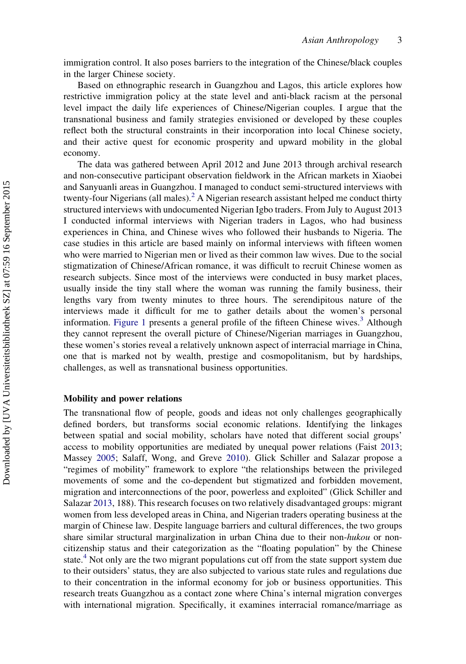immigration control. It also poses barriers to the integration of the Chinese/black couples in the larger Chinese society.

Based on ethnographic research in Guangzhou and Lagos, this article explores how restrictive immigration policy at the state level and anti-black racism at the personal level impact the daily life experiences of Chinese/Nigerian couples. I argue that the transnational business and family strategies envisioned or developed by these couples reflect both the structural constraints in their incorporation into local Chinese society, and their active quest for economic prosperity and upward mobility in the global economy.

The data was gathered between April 2012 and June 2013 through archival research and non-consecutive participant observation fieldwork in the African markets in Xiaobei and Sanyuanli areas in Guangzhou. I managed to conduct semi-structured interviews with twenty-four Nigerians (all males). $<sup>2</sup>$  $<sup>2</sup>$  $<sup>2</sup>$  A Nigerian research assistant helped me conduct thirty</sup> structured interviews with undocumented Nigerian Igbo traders. From July to August 2013 I conducted informal interviews with Nigerian traders in Lagos, who had business experiences in China, and Chinese wives who followed their husbands to Nigeria. The case studies in this article are based mainly on informal interviews with fifteen women who were married to Nigerian men or lived as their common law wives. Due to the social stigmatization of Chinese/African romance, it was difficult to recruit Chinese women as research subjects. Since most of the interviews were conducted in busy market places, usually inside the tiny stall where the woman was running the family business, their lengths vary from twenty minutes to three hours. The serendipitous nature of the interviews made it difficult for me to gather details about the women's personal information. [Figure 1](#page-4-0) presents a general profile of the fifteen Chinese wives.<sup>[3](#page-15-0)</sup> Although they cannot represent the overall picture of Chinese/Nigerian marriages in Guangzhou, these women's stories reveal a relatively unknown aspect of interracial marriage in China, one that is marked not by wealth, prestige and cosmopolitanism, but by hardships, challenges, as well as transnational business opportunities.

## Mobility and power relations

The transnational flow of people, goods and ideas not only challenges geographically defined borders, but transforms social economic relations. Identifying the linkages between spatial and social mobility, scholars have noted that different social groups' access to mobility opportunities are mediated by unequal power relations (Faist [2013](#page-16-0); Massey [2005](#page-16-0); Salaff, Wong, and Greve [2010\)](#page-17-0). Glick Schiller and Salazar propose a "regimes of mobility" framework to explore "the relationships between the privileged movements of some and the co-dependent but stigmatized and forbidden movement, migration and interconnections of the poor, powerless and exploited" (Glick Schiller and Salazar [2013,](#page-16-0) 188). This research focuses on two relatively disadvantaged groups: migrant women from less developed areas in China, and Nigerian traders operating business at the margin of Chinese law. Despite language barriers and cultural differences, the two groups share similar structural marginalization in urban China due to their non-hukou or noncitizenship status and their categorization as the "floating population" by the Chinese state.<sup>[4](#page-15-0)</sup> Not only are the two migrant populations cut off from the state support system due to their outsiders' status, they are also subjected to various state rules and regulations due to their concentration in the informal economy for job or business opportunities. This research treats Guangzhou as a contact zone where China's internal migration converges with international migration. Specifically, it examines interracial romance/marriage as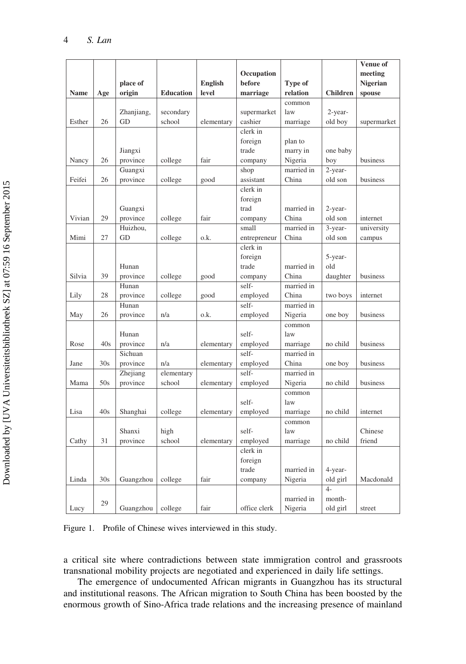<span id="page-4-0"></span>

|             |     |            |                  |                |              |            |                 | Venue of        |
|-------------|-----|------------|------------------|----------------|--------------|------------|-----------------|-----------------|
|             |     |            |                  |                | Occupation   |            |                 | meeting         |
|             |     | place of   |                  | <b>English</b> | before       | Type of    |                 | <b>Nigerian</b> |
| <b>Name</b> | Age | origin     | <b>Education</b> | level          | marriage     | relation   | <b>Children</b> | spouse          |
|             |     |            |                  |                |              | common     |                 |                 |
|             |     | Zhanjiang, | secondary        |                | supermarket  | law        | 2-year-         |                 |
| Esther      | 26  | GD         | school           | elementary     | cashier      | marriage   | old boy         | supermarket     |
|             |     |            |                  |                | clerk in     |            |                 |                 |
|             |     |            |                  |                | foreign      | plan to    |                 |                 |
|             |     | Jiangxi    |                  |                | trade        | marry in   | one baby        |                 |
| Nancy       | 26  | province   | college          | fair           | company      | Nigeria    | boy             | business        |
|             |     | Guangxi    |                  |                | shop         | married in | 2-year-         |                 |
| Feifei      | 26  | province   | college          | good           | assistant    | China      | old son         | business        |
|             |     |            |                  |                | clerk in     |            |                 |                 |
|             |     |            |                  |                | foreign      |            |                 |                 |
|             |     | Guangxi    |                  |                | trad         | married in | 2-year-         |                 |
| Vivian      | 29  | province   | college          | fair           | company      | China      | old son         | internet        |
|             |     | Huizhou,   |                  |                | small        | married in | 3-year-         | university      |
| Mimi        | 27  | GD         | college          | o.k.           | entrepreneur | China      | old son         | campus          |
|             |     |            |                  |                | clerk in     |            |                 |                 |
|             |     |            |                  |                | foreign      |            | 5-year-         |                 |
|             |     | Hunan      |                  |                | trade        | married in | old             |                 |
| Silvia      | 39  | province   | college          | good           | company      | China      | daughter        | business        |
|             |     | Hunan      |                  |                | self-        | married in |                 |                 |
| Lily        | 28  | province   | college          | good           | employed     | China      | two boys        | internet        |
|             |     | Hunan      |                  |                | self-        | married in |                 |                 |
| May         | 26  | province   | n/a              | o.k.           | employed     | Nigeria    | one boy         | business        |
|             |     |            |                  |                |              | common     |                 |                 |
|             |     | Hunan      |                  |                | self-        | law        |                 |                 |
| Rose        | 40s | province   | n/a              | elementary     | employed     | marriage   | no child        | business        |
|             |     | Sichuan    |                  |                | self-        | married in |                 |                 |
| Jane        | 30s | province   | n/a              | elementary     | employed     | China      | one boy         | business        |
|             |     | Zhejiang   | elementary       |                | self-        | married in |                 |                 |
| Mama        | 50s | province   | school           | elementary     | employed     | Nigeria    | no child        | business        |
|             |     |            |                  |                |              | common     |                 |                 |
|             |     |            |                  |                | self-        | law        |                 |                 |
| Lisa        | 40s | Shanghai   | college          | elementary     | employed     | marriage   | no child        | internet        |
|             |     |            |                  |                |              | common     |                 |                 |
|             |     | Shanxi     | high             |                | self-        | law        |                 | Chinese         |
| Cathy       | 31  | province   | school           | elementary     | employed     | marriage   | no child        | friend          |
|             |     |            |                  |                | clerk in     |            |                 |                 |
|             |     |            |                  |                | foreign      |            |                 |                 |
|             |     |            |                  |                | trade        | married in | 4-year-         |                 |
| Linda       | 30s | Guangzhou  | college          | fair           | company      | Nigeria    | old girl        | Macdonald       |
|             |     |            |                  |                |              |            | $4-$            |                 |
|             |     |            |                  |                |              | married in | month-          |                 |
| Lucy        | 29  | Guangzhou  | college          | fair           | office clerk | Nigeria    | old girl        | street          |

Figure 1. Profile of Chinese wives interviewed in this study.

a critical site where contradictions between state immigration control and grassroots transnational mobility projects are negotiated and experienced in daily life settings.

The emergence of undocumented African migrants in Guangzhou has its structural and institutional reasons. The African migration to South China has been boosted by the enormous growth of Sino-Africa trade relations and the increasing presence of mainland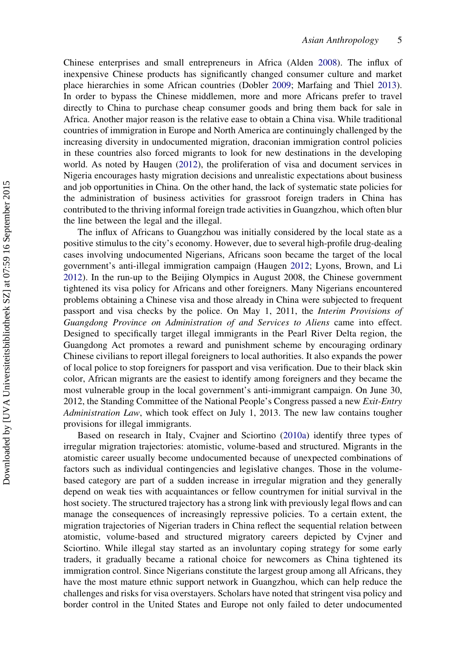Chinese enterprises and small entrepreneurs in Africa (Alden [2008\)](#page-15-0). The influx of inexpensive Chinese products has significantly changed consumer culture and market place hierarchies in some African countries (Dobler [2009](#page-15-0); Marfaing and Thiel [2013](#page-16-0)). In order to bypass the Chinese middlemen, more and more Africans prefer to travel directly to China to purchase cheap consumer goods and bring them back for sale in Africa. Another major reason is the relative ease to obtain a China visa. While traditional countries of immigration in Europe and North America are continuingly challenged by the increasing diversity in undocumented migration, draconian immigration control policies in these countries also forced migrants to look for new destinations in the developing world. As noted by Haugen [\(2012](#page-16-0)), the proliferation of visa and document services in Nigeria encourages hasty migration decisions and unrealistic expectations about business and job opportunities in China. On the other hand, the lack of systematic state policies for the administration of business activities for grassroot foreign traders in China has contributed to the thriving informal foreign trade activities in Guangzhou, which often blur the line between the legal and the illegal.

The influx of Africans to Guangzhou was initially considered by the local state as a positive stimulus to the city's economy. However, due to several high-profile drug-dealing cases involving undocumented Nigerians, Africans soon became the target of the local government's anti-illegal immigration campaign (Haugen [2012;](#page-16-0) Lyons, Brown, and Li [2012](#page-16-0)). In the run-up to the Beijing Olympics in August 2008, the Chinese government tightened its visa policy for Africans and other foreigners. Many Nigerians encountered problems obtaining a Chinese visa and those already in China were subjected to frequent passport and visa checks by the police. On May 1, 2011, the Interim Provisions of Guangdong Province on Administration of and Services to Aliens came into effect. Designed to specifically target illegal immigrants in the Pearl River Delta region, the Guangdong Act promotes a reward and punishment scheme by encouraging ordinary Chinese civilians to report illegal foreigners to local authorities. It also expands the power of local police to stop foreigners for passport and visa verification. Due to their black skin color, African migrants are the easiest to identify among foreigners and they became the most vulnerable group in the local government's anti-immigrant campaign. On June 30, 2012, the Standing Committee of the National People's Congress passed a new *Exit-Entry* Administration Law, which took effect on July 1, 2013. The new law contains tougher provisions for illegal immigrants.

Based on research in Italy, Cvajner and Sciortino ([2010a](#page-15-0)) identify three types of irregular migration trajectories: atomistic, volume-based and structured. Migrants in the atomistic career usually become undocumented because of unexpected combinations of factors such as individual contingencies and legislative changes. Those in the volumebased category are part of a sudden increase in irregular migration and they generally depend on weak ties with acquaintances or fellow countrymen for initial survival in the host society. The structured trajectory has a strong link with previously legal flows and can manage the consequences of increasingly repressive policies. To a certain extent, the migration trajectories of Nigerian traders in China reflect the sequential relation between atomistic, volume-based and structured migratory careers depicted by Cvjner and Sciortino. While illegal stay started as an involuntary coping strategy for some early traders, it gradually became a rational choice for newcomers as China tightened its immigration control. Since Nigerians constitute the largest group among all Africans, they have the most mature ethnic support network in Guangzhou, which can help reduce the challenges and risks for visa overstayers. Scholars have noted that stringent visa policy and border control in the United States and Europe not only failed to deter undocumented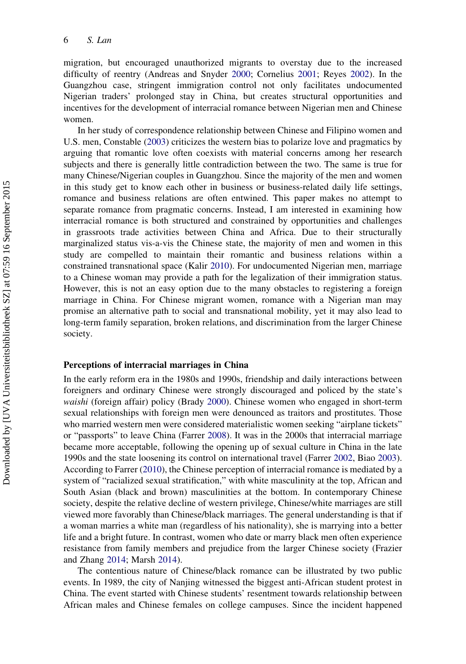migration, but encouraged unauthorized migrants to overstay due to the increased difficulty of reentry (Andreas and Snyder [2000](#page-15-0); Cornelius [2001](#page-15-0); Reyes [2002](#page-17-0)). In the Guangzhou case, stringent immigration control not only facilitates undocumented Nigerian traders' prolonged stay in China, but creates structural opportunities and incentives for the development of interracial romance between Nigerian men and Chinese women.

In her study of correspondence relationship between Chinese and Filipino women and U.S. men, Constable ([2003\)](#page-15-0) criticizes the western bias to polarize love and pragmatics by arguing that romantic love often coexists with material concerns among her research subjects and there is generally little contradiction between the two. The same is true for many Chinese/Nigerian couples in Guangzhou. Since the majority of the men and women in this study get to know each other in business or business-related daily life settings, romance and business relations are often entwined. This paper makes no attempt to separate romance from pragmatic concerns. Instead, I am interested in examining how interracial romance is both structured and constrained by opportunities and challenges in grassroots trade activities between China and Africa. Due to their structurally marginalized status vis-a-vis the Chinese state, the majority of men and women in this study are compelled to maintain their romantic and business relations within a constrained transnational space (Kalir [2010\)](#page-16-0). For undocumented Nigerian men, marriage to a Chinese woman may provide a path for the legalization of their immigration status. However, this is not an easy option due to the many obstacles to registering a foreign marriage in China. For Chinese migrant women, romance with a Nigerian man may promise an alternative path to social and transnational mobility, yet it may also lead to long-term family separation, broken relations, and discrimination from the larger Chinese society.

## Perceptions of interracial marriages in China

In the early reform era in the 1980s and 1990s, friendship and daily interactions between foreigners and ordinary Chinese were strongly discouraged and policed by the state's waishi (foreign affair) policy (Brady [2000](#page-15-0)). Chinese women who engaged in short-term sexual relationships with foreign men were denounced as traitors and prostitutes. Those who married western men were considered materialistic women seeking "airplane tickets" or "passports" to leave China (Farrer [2008\)](#page-16-0). It was in the 2000s that interracial marriage became more acceptable, following the opening up of sexual culture in China in the late 1990s and the state loosening its control on international travel (Farrer [2002](#page-16-0), Biao [2003](#page-15-0)). According to Farrer [\(2010](#page-16-0)), the Chinese perception of interracial romance is mediated by a system of "racialized sexual stratification," with white masculinity at the top, African and South Asian (black and brown) masculinities at the bottom. In contemporary Chinese society, despite the relative decline of western privilege, Chinese/white marriages are still viewed more favorably than Chinese/black marriages. The general understanding is that if a woman marries a white man (regardless of his nationality), she is marrying into a better life and a bright future. In contrast, women who date or marry black men often experience resistance from family members and prejudice from the larger Chinese society (Frazier and Zhang [2014](#page-16-0); Marsh [2014](#page-16-0)).

The contentious nature of Chinese/black romance can be illustrated by two public events. In 1989, the city of Nanjing witnessed the biggest anti-African student protest in China. The event started with Chinese students' resentment towards relationship between African males and Chinese females on college campuses. Since the incident happened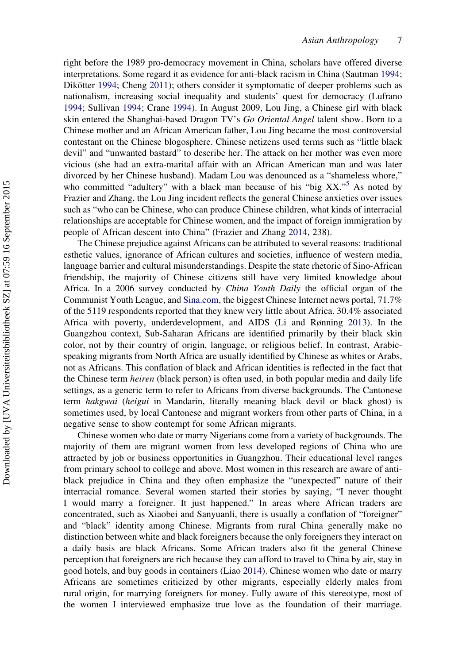right before the 1989 pro-democracy movement in China, scholars have offered diverse interpretations. Some regard it as evidence for anti-black racism in China (Sautman [1994](#page-17-0); Dikötter [1994;](#page-15-0) Cheng [2011](#page-15-0)); others consider it symptomatic of deeper problems such as nationalism, increasing social inequality and students' quest for democracy (Lufrano [1994](#page-16-0); Sullivan [1994;](#page-17-0) Crane [1994\)](#page-15-0). In August 2009, Lou Jing, a Chinese girl with black skin entered the Shanghai-based Dragon TV's Go Oriental Angel talent show. Born to a Chinese mother and an African American father, Lou Jing became the most controversial contestant on the Chinese blogosphere. Chinese netizens used terms such as "little black devil" and "unwanted bastard" to describe her. The attack on her mother was even more vicious (she had an extra-marital affair with an African American man and was later divorced by her Chinese husband). Madam Lou was denounced as a "shameless whore," who committed "adultery" with a black man because of his "big XX."<sup>[5](#page-15-0)</sup> As noted by Frazier and Zhang, the Lou Jing incident reflects the general Chinese anxieties over issues such as "who can be Chinese, who can produce Chinese children, what kinds of interracial relationships are acceptable for Chinese women, and the impact of foreign immigration by people of African descent into China" (Frazier and Zhang [2014,](#page-16-0) 238).

The Chinese prejudice against Africans can be attributed to several reasons: traditional esthetic values, ignorance of African cultures and societies, influence of western media, language barrier and cultural misunderstandings. Despite the state rhetoric of Sino-African friendship, the majority of Chinese citizens still have very limited knowledge about Africa. In a 2006 survey conducted by *China Youth Daily* the official organ of the Communist Youth League, and [Sina.com,](http://Sina.com) the biggest Chinese Internet news portal, 71.7% of the 5119 respondents reported that they knew very little about Africa. 30.4% associated Africa with poverty, underdevelopment, and AIDS (Li and Rønning [2013\)](#page-16-0). In the Guangzhou context, Sub-Saharan Africans are identified primarily by their black skin color, not by their country of origin, language, or religious belief. In contrast, Arabicspeaking migrants from North Africa are usually identified by Chinese as whites or Arabs, not as Africans. This conflation of black and African identities is reflected in the fact that the Chinese term heiren (black person) is often used, in both popular media and daily life settings, as a generic term to refer to Africans from diverse backgrounds. The Cantonese term hakgwai (heigui in Mandarin, literally meaning black devil or black ghost) is sometimes used, by local Cantonese and migrant workers from other parts of China, in a negative sense to show contempt for some African migrants.

Chinese women who date or marry Nigerians come from a variety of backgrounds. The majority of them are migrant women from less developed regions of China who are attracted by job or business opportunities in Guangzhou. Their educational level ranges from primary school to college and above. Most women in this research are aware of antiblack prejudice in China and they often emphasize the "unexpected" nature of their interracial romance. Several women started their stories by saying, "I never thought I would marry a foreigner. It just happened." In areas where African traders are concentrated, such as Xiaobei and Sanyuanli, there is usually a conflation of "foreigner" and "black" identity among Chinese. Migrants from rural China generally make no distinction between white and black foreigners because the only foreigners they interact on a daily basis are black Africans. Some African traders also fit the general Chinese perception that foreigners are rich because they can afford to travel to China by air, stay in good hotels, and buy goods in containers (Liao [2014](#page-16-0)). Chinese women who date or marry Africans are sometimes criticized by other migrants, especially elderly males from rural origin, for marrying foreigners for money. Fully aware of this stereotype, most of the women I interviewed emphasize true love as the foundation of their marriage.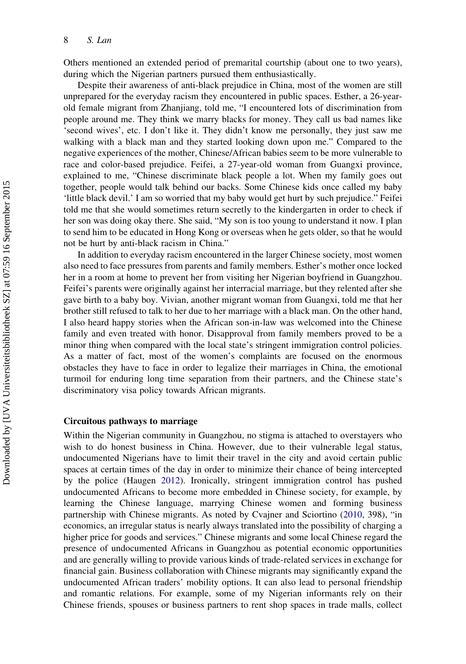Others mentioned an extended period of premarital courtship (about one to two years), during which the Nigerian partners pursued them enthusiastically.

Despite their awareness of anti-black prejudice in China, most of the women are still unprepared for the everyday racism they encountered in public spaces. Esther, a 26-yearold female migrant from Zhanjiang, told me, "I encountered lots of discrimination from people around me. They think we marry blacks for money. They call us bad names like 'second wives', etc. I don't like it. They didn't know me personally, they just saw me walking with a black man and they started looking down upon me." Compared to the negative experiences of the mother, Chinese/African babies seem to be more vulnerable to race and color-based prejudice. Feifei, a 27-year-old woman from Guangxi province, explained to me, "Chinese discriminate black people a lot. When my family goes out together, people would talk behind our backs. Some Chinese kids once called my baby 'little black devil.' I am so worried that my baby would get hurt by such prejudice." Feifei told me that she would sometimes return secretly to the kindergarten in order to check if her son was doing okay there. She said, "My son is too young to understand it now. I plan to send him to be educated in Hong Kong or overseas when he gets older, so that he would not be hurt by anti-black racism in China."

In addition to everyday racism encountered in the larger Chinese society, most women also need to face pressures from parents and family members. Esther's mother once locked her in a room at home to prevent her from visiting her Nigerian boyfriend in Guangzhou. Feifei's parents were originally against her interracial marriage, but they relented after she gave birth to a baby boy. Vivian, another migrant woman from Guangxi, told me that her brother still refused to talk to her due to her marriage with a black man. On the other hand, I also heard happy stories when the African son-in-law was welcomed into the Chinese family and even treated with honor. Disapproval from family members proved to be a minor thing when compared with the local state's stringent immigration control policies. As a matter of fact, most of the women's complaints are focused on the enormous obstacles they have to face in order to legalize their marriages in China, the emotional turmoil for enduring long time separation from their partners, and the Chinese state's discriminatory visa policy towards African migrants.

## Circuitous pathways to marriage

Within the Nigerian community in Guangzhou, no stigma is attached to overstayers who wish to do honest business in China. However, due to their vulnerable legal status, undocumented Nigerians have to limit their travel in the city and avoid certain public spaces at certain times of the day in order to minimize their chance of being intercepted by the police (Haugen [2012\)](#page-16-0). Ironically, stringent immigration control has pushed undocumented Africans to become more embedded in Chinese society, for example, by learning the Chinese language, marrying Chinese women and forming business partnership with Chinese migrants. As noted by Cvajner and Sciortino ([2010,](#page-15-0) 398), "in economics, an irregular status is nearly always translated into the possibility of charging a higher price for goods and services." Chinese migrants and some local Chinese regard the presence of undocumented Africans in Guangzhou as potential economic opportunities and are generally willing to provide various kinds of trade-related services in exchange for financial gain. Business collaboration with Chinese migrants may significantly expand the undocumented African traders' mobility options. It can also lead to personal friendship and romantic relations. For example, some of my Nigerian informants rely on their Chinese friends, spouses or business partners to rent shop spaces in trade malls, collect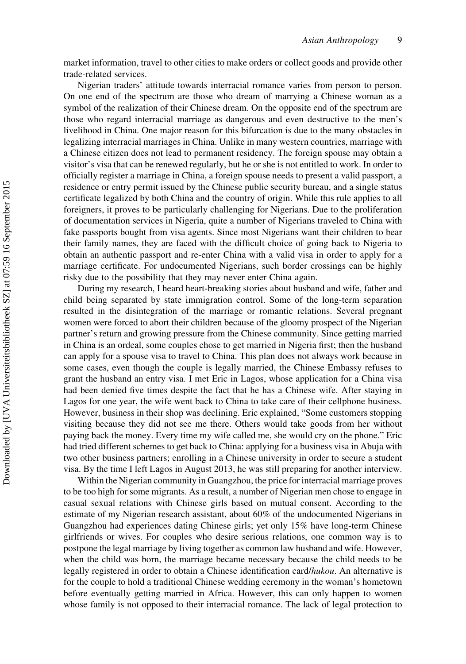market information, travel to other cities to make orders or collect goods and provide other trade-related services.

Nigerian traders' attitude towards interracial romance varies from person to person. On one end of the spectrum are those who dream of marrying a Chinese woman as a symbol of the realization of their Chinese dream. On the opposite end of the spectrum are those who regard interracial marriage as dangerous and even destructive to the men's livelihood in China. One major reason for this bifurcation is due to the many obstacles in legalizing interracial marriages in China. Unlike in many western countries, marriage with a Chinese citizen does not lead to permanent residency. The foreign spouse may obtain a visitor's visa that can be renewed regularly, but he or she is not entitled to work. In order to officially register a marriage in China, a foreign spouse needs to present a valid passport, a residence or entry permit issued by the Chinese public security bureau, and a single status certificate legalized by both China and the country of origin. While this rule applies to all foreigners, it proves to be particularly challenging for Nigerians. Due to the proliferation of documentation services in Nigeria, quite a number of Nigerians traveled to China with fake passports bought from visa agents. Since most Nigerians want their children to bear their family names, they are faced with the difficult choice of going back to Nigeria to obtain an authentic passport and re-enter China with a valid visa in order to apply for a marriage certificate. For undocumented Nigerians, such border crossings can be highly risky due to the possibility that they may never enter China again.

During my research, I heard heart-breaking stories about husband and wife, father and child being separated by state immigration control. Some of the long-term separation resulted in the disintegration of the marriage or romantic relations. Several pregnant women were forced to abort their children because of the gloomy prospect of the Nigerian partner's return and growing pressure from the Chinese community. Since getting married in China is an ordeal, some couples chose to get married in Nigeria first; then the husband can apply for a spouse visa to travel to China. This plan does not always work because in some cases, even though the couple is legally married, the Chinese Embassy refuses to grant the husband an entry visa. I met Eric in Lagos, whose application for a China visa had been denied five times despite the fact that he has a Chinese wife. After staying in Lagos for one year, the wife went back to China to take care of their cellphone business. However, business in their shop was declining. Eric explained, "Some customers stopping visiting because they did not see me there. Others would take goods from her without paying back the money. Every time my wife called me, she would cry on the phone." Eric had tried different schemes to get back to China: applying for a business visa in Abuja with two other business partners; enrolling in a Chinese university in order to secure a student visa. By the time I left Lagos in August 2013, he was still preparing for another interview.

Within the Nigerian community in Guangzhou, the price for interracial marriage proves to be too high for some migrants. As a result, a number of Nigerian men chose to engage in casual sexual relations with Chinese girls based on mutual consent. According to the estimate of my Nigerian research assistant, about 60% of the undocumented Nigerians in Guangzhou had experiences dating Chinese girls; yet only 15% have long-term Chinese girlfriends or wives. For couples who desire serious relations, one common way is to postpone the legal marriage by living together as common law husband and wife. However, when the child was born, the marriage became necessary because the child needs to be legally registered in order to obtain a Chinese identification card/hukou. An alternative is for the couple to hold a traditional Chinese wedding ceremony in the woman's hometown before eventually getting married in Africa. However, this can only happen to women whose family is not opposed to their interracial romance. The lack of legal protection to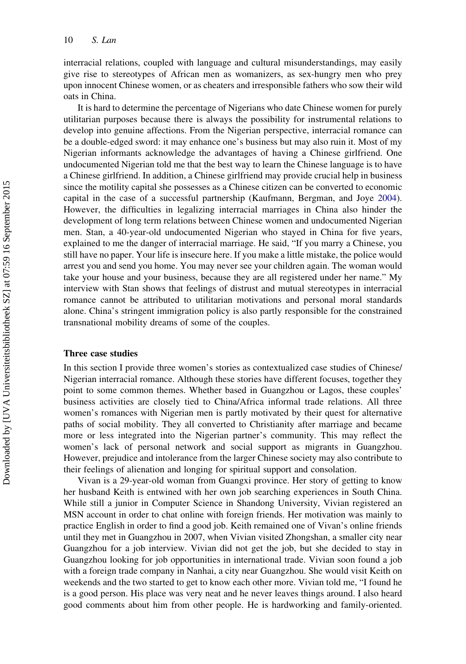interracial relations, coupled with language and cultural misunderstandings, may easily give rise to stereotypes of African men as womanizers, as sex-hungry men who prey upon innocent Chinese women, or as cheaters and irresponsible fathers who sow their wild oats in China.

It is hard to determine the percentage of Nigerians who date Chinese women for purely utilitarian purposes because there is always the possibility for instrumental relations to develop into genuine affections. From the Nigerian perspective, interracial romance can be a double-edged sword: it may enhance one's business but may also ruin it. Most of my Nigerian informants acknowledge the advantages of having a Chinese girlfriend. One undocumented Nigerian told me that the best way to learn the Chinese language is to have a Chinese girlfriend. In addition, a Chinese girlfriend may provide crucial help in business since the motility capital she possesses as a Chinese citizen can be converted to economic capital in the case of a successful partnership (Kaufmann, Bergman, and Joye [2004](#page-16-0)). However, the difficulties in legalizing interracial marriages in China also hinder the development of long term relations between Chinese women and undocumented Nigerian men. Stan, a 40-year-old undocumented Nigerian who stayed in China for five years, explained to me the danger of interracial marriage. He said, "If you marry a Chinese, you still have no paper. Your life is insecure here. If you make a little mistake, the police would arrest you and send you home. You may never see your children again. The woman would take your house and your business, because they are all registered under her name." My interview with Stan shows that feelings of distrust and mutual stereotypes in interracial romance cannot be attributed to utilitarian motivations and personal moral standards alone. China's stringent immigration policy is also partly responsible for the constrained transnational mobility dreams of some of the couples.

## Three case studies

In this section I provide three women's stories as contextualized case studies of Chinese/ Nigerian interracial romance. Although these stories have different focuses, together they point to some common themes. Whether based in Guangzhou or Lagos, these couples' business activities are closely tied to China/Africa informal trade relations. All three women's romances with Nigerian men is partly motivated by their quest for alternative paths of social mobility. They all converted to Christianity after marriage and became more or less integrated into the Nigerian partner's community. This may reflect the women's lack of personal network and social support as migrants in Guangzhou. However, prejudice and intolerance from the larger Chinese society may also contribute to their feelings of alienation and longing for spiritual support and consolation.

Vivan is a 29-year-old woman from Guangxi province. Her story of getting to know her husband Keith is entwined with her own job searching experiences in South China. While still a junior in Computer Science in Shandong University, Vivian registered an MSN account in order to chat online with foreign friends. Her motivation was mainly to practice English in order to find a good job. Keith remained one of Vivan's online friends until they met in Guangzhou in 2007, when Vivian visited Zhongshan, a smaller city near Guangzhou for a job interview. Vivian did not get the job, but she decided to stay in Guangzhou looking for job opportunities in international trade. Vivian soon found a job with a foreign trade company in Nanhai, a city near Guangzhou. She would visit Keith on weekends and the two started to get to know each other more. Vivian told me, "I found he is a good person. His place was very neat and he never leaves things around. I also heard good comments about him from other people. He is hardworking and family-oriented.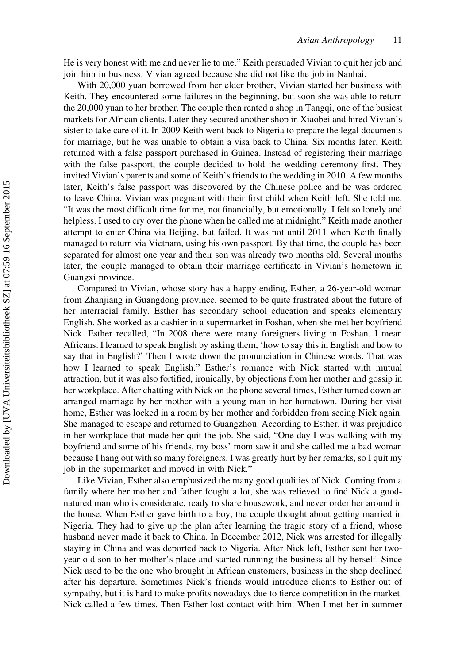He is very honest with me and never lie to me." Keith persuaded Vivian to quit her job and join him in business. Vivian agreed because she did not like the job in Nanhai.

With 20,000 yuan borrowed from her elder brother, Vivian started her business with Keith. They encountered some failures in the beginning, but soon she was able to return the 20,000 yuan to her brother. The couple then rented a shop in Tangqi, one of the busiest markets for African clients. Later they secured another shop in Xiaobei and hired Vivian's sister to take care of it. In 2009 Keith went back to Nigeria to prepare the legal documents for marriage, but he was unable to obtain a visa back to China. Six months later, Keith returned with a false passport purchased in Guinea. Instead of registering their marriage with the false passport, the couple decided to hold the wedding ceremony first. They invited Vivian's parents and some of Keith's friends to the wedding in 2010. A few months later, Keith's false passport was discovered by the Chinese police and he was ordered to leave China. Vivian was pregnant with their first child when Keith left. She told me, "It was the most difficult time for me, not financially, but emotionally. I felt so lonely and helpless. I used to cry over the phone when he called me at midnight." Keith made another attempt to enter China via Beijing, but failed. It was not until 2011 when Keith finally managed to return via Vietnam, using his own passport. By that time, the couple has been separated for almost one year and their son was already two months old. Several months later, the couple managed to obtain their marriage certificate in Vivian's hometown in Guangxi province.

Compared to Vivian, whose story has a happy ending, Esther, a 26-year-old woman from Zhanjiang in Guangdong province, seemed to be quite frustrated about the future of her interracial family. Esther has secondary school education and speaks elementary English. She worked as a cashier in a supermarket in Foshan, when she met her boyfriend Nick. Esther recalled, "In 2008 there were many foreigners living in Foshan. I mean Africans. I learned to speak English by asking them, 'how to say this in English and how to say that in English?' Then I wrote down the pronunciation in Chinese words. That was how I learned to speak English." Esther's romance with Nick started with mutual attraction, but it was also fortified, ironically, by objections from her mother and gossip in her workplace. After chatting with Nick on the phone several times, Esther turned down an arranged marriage by her mother with a young man in her hometown. During her visit home, Esther was locked in a room by her mother and forbidden from seeing Nick again. She managed to escape and returned to Guangzhou. According to Esther, it was prejudice in her workplace that made her quit the job. She said, "One day I was walking with my boyfriend and some of his friends, my boss' mom saw it and she called me a bad woman because I hang out with so many foreigners. I was greatly hurt by her remarks, so I quit my job in the supermarket and moved in with Nick."

Like Vivian, Esther also emphasized the many good qualities of Nick. Coming from a family where her mother and father fought a lot, she was relieved to find Nick a goodnatured man who is considerate, ready to share housework, and never order her around in the house. When Esther gave birth to a boy, the couple thought about getting married in Nigeria. They had to give up the plan after learning the tragic story of a friend, whose husband never made it back to China. In December 2012, Nick was arrested for illegally staying in China and was deported back to Nigeria. After Nick left, Esther sent her twoyear-old son to her mother's place and started running the business all by herself. Since Nick used to be the one who brought in African customers, business in the shop declined after his departure. Sometimes Nick's friends would introduce clients to Esther out of sympathy, but it is hard to make profits nowadays due to fierce competition in the market. Nick called a few times. Then Esther lost contact with him. When I met her in summer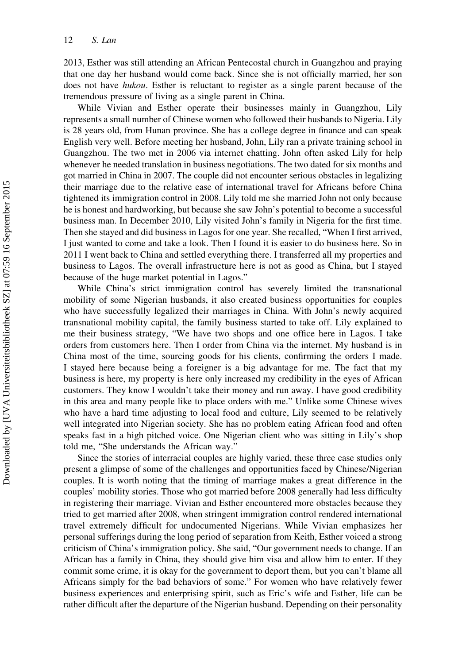2013, Esther was still attending an African Pentecostal church in Guangzhou and praying that one day her husband would come back. Since she is not officially married, her son does not have *hukou*. Esther is reluctant to register as a single parent because of the tremendous pressure of living as a single parent in China.

While Vivian and Esther operate their businesses mainly in Guangzhou, Lily represents a small number of Chinese women who followed their husbands to Nigeria. Lily is 28 years old, from Hunan province. She has a college degree in finance and can speak English very well. Before meeting her husband, John, Lily ran a private training school in Guangzhou. The two met in 2006 via internet chatting. John often asked Lily for help whenever he needed translation in business negotiations. The two dated for six months and got married in China in 2007. The couple did not encounter serious obstacles in legalizing their marriage due to the relative ease of international travel for Africans before China tightened its immigration control in 2008. Lily told me she married John not only because he is honest and hardworking, but because she saw John's potential to become a successful business man. In December 2010, Lily visited John's family in Nigeria for the first time. Then she stayed and did business in Lagos for one year. She recalled, "When I first arrived, I just wanted to come and take a look. Then I found it is easier to do business here. So in 2011 I went back to China and settled everything there. I transferred all my properties and business to Lagos. The overall infrastructure here is not as good as China, but I stayed because of the huge market potential in Lagos."

While China's strict immigration control has severely limited the transnational mobility of some Nigerian husbands, it also created business opportunities for couples who have successfully legalized their marriages in China. With John's newly acquired transnational mobility capital, the family business started to take off. Lily explained to me their business strategy, "We have two shops and one office here in Lagos. I take orders from customers here. Then I order from China via the internet. My husband is in China most of the time, sourcing goods for his clients, confirming the orders I made. I stayed here because being a foreigner is a big advantage for me. The fact that my business is here, my property is here only increased my credibility in the eyes of African customers. They know I wouldn't take their money and run away. I have good credibility in this area and many people like to place orders with me." Unlike some Chinese wives who have a hard time adjusting to local food and culture, Lily seemed to be relatively well integrated into Nigerian society. She has no problem eating African food and often speaks fast in a high pitched voice. One Nigerian client who was sitting in Lily's shop told me, "She understands the African way."

Since the stories of interracial couples are highly varied, these three case studies only present a glimpse of some of the challenges and opportunities faced by Chinese/Nigerian couples. It is worth noting that the timing of marriage makes a great difference in the couples' mobility stories. Those who got married before 2008 generally had less difficulty in registering their marriage. Vivian and Esther encountered more obstacles because they tried to get married after 2008, when stringent immigration control rendered international travel extremely difficult for undocumented Nigerians. While Vivian emphasizes her personal sufferings during the long period of separation from Keith, Esther voiced a strong criticism of China's immigration policy. She said, "Our government needs to change. If an African has a family in China, they should give him visa and allow him to enter. If they commit some crime, it is okay for the government to deport them, but you can't blame all Africans simply for the bad behaviors of some." For women who have relatively fewer business experiences and enterprising spirit, such as Eric's wife and Esther, life can be rather difficult after the departure of the Nigerian husband. Depending on their personality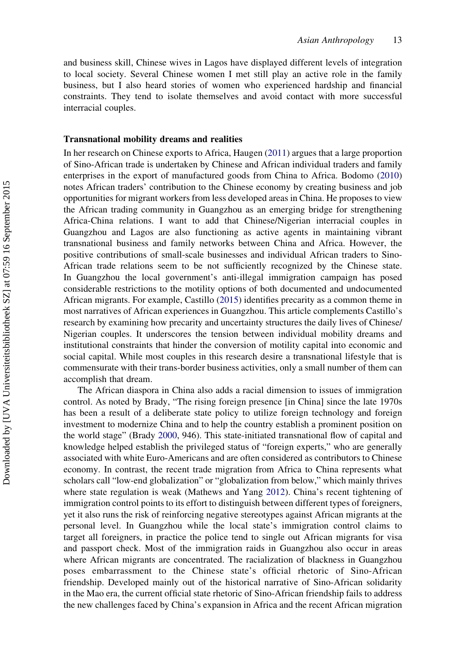and business skill, Chinese wives in Lagos have displayed different levels of integration to local society. Several Chinese women I met still play an active role in the family business, but I also heard stories of women who experienced hardship and financial constraints. They tend to isolate themselves and avoid contact with more successful interracial couples.

#### Transnational mobility dreams and realities

In her research on Chinese exports to Africa, Haugen ([2011\)](#page-16-0) argues that a large proportion of Sino-African trade is undertaken by Chinese and African individual traders and family enterprises in the export of manufactured goods from China to Africa. Bodomo ([2010\)](#page-15-0) notes African traders' contribution to the Chinese economy by creating business and job opportunities for migrant workers from less developed areas in China. He proposes to view the African trading community in Guangzhou as an emerging bridge for strengthening Africa-China relations. I want to add that Chinese/Nigerian interracial couples in Guangzhou and Lagos are also functioning as active agents in maintaining vibrant transnational business and family networks between China and Africa. However, the positive contributions of small-scale businesses and individual African traders to Sino-African trade relations seem to be not sufficiently recognized by the Chinese state. In Guangzhou the local government's anti-illegal immigration campaign has posed considerable restrictions to the motility options of both documented and undocumented African migrants. For example, Castillo ([2015\)](#page-15-0) identifies precarity as a common theme in most narratives of African experiences in Guangzhou. This article complements Castillo's research by examining how precarity and uncertainty structures the daily lives of Chinese/ Nigerian couples. It underscores the tension between individual mobility dreams and institutional constraints that hinder the conversion of motility capital into economic and social capital. While most couples in this research desire a transnational lifestyle that is commensurate with their trans-border business activities, only a small number of them can accomplish that dream.

The African diaspora in China also adds a racial dimension to issues of immigration control. As noted by Brady, "The rising foreign presence [in China] since the late 1970s has been a result of a deliberate state policy to utilize foreign technology and foreign investment to modernize China and to help the country establish a prominent position on the world stage" (Brady [2000](#page-15-0), 946). This state-initiated transnational flow of capital and knowledge helped establish the privileged status of "foreign experts," who are generally associated with white Euro-Americans and are often considered as contributors to Chinese economy. In contrast, the recent trade migration from Africa to China represents what scholars call "low-end globalization" or "globalization from below," which mainly thrives where state regulation is weak (Mathews and Yang [2012\)](#page-16-0). China's recent tightening of immigration control points to its effort to distinguish between different types of foreigners, yet it also runs the risk of reinforcing negative stereotypes against African migrants at the personal level. In Guangzhou while the local state's immigration control claims to target all foreigners, in practice the police tend to single out African migrants for visa and passport check. Most of the immigration raids in Guangzhou also occur in areas where African migrants are concentrated. The racialization of blackness in Guangzhou poses embarrassment to the Chinese state's official rhetoric of Sino-African friendship. Developed mainly out of the historical narrative of Sino-African solidarity in the Mao era, the current official state rhetoric of Sino-African friendship fails to address the new challenges faced by China's expansion in Africa and the recent African migration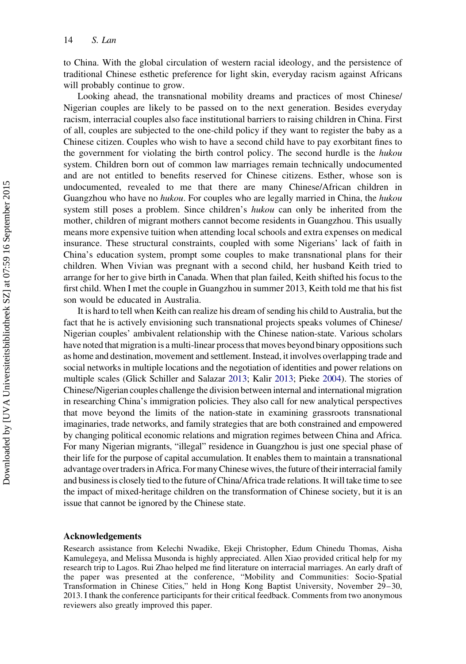to China. With the global circulation of western racial ideology, and the persistence of traditional Chinese esthetic preference for light skin, everyday racism against Africans will probably continue to grow.

Looking ahead, the transnational mobility dreams and practices of most Chinese/ Nigerian couples are likely to be passed on to the next generation. Besides everyday racism, interracial couples also face institutional barriers to raising children in China. First of all, couples are subjected to the one-child policy if they want to register the baby as a Chinese citizen. Couples who wish to have a second child have to pay exorbitant fines to the government for violating the birth control policy. The second hurdle is the hukou system. Children born out of common law marriages remain technically undocumented and are not entitled to benefits reserved for Chinese citizens. Esther, whose son is undocumented, revealed to me that there are many Chinese/African children in Guangzhou who have no *hukou*. For couples who are legally married in China, the *hukou* system still poses a problem. Since children's hukou can only be inherited from the mother, children of migrant mothers cannot become residents in Guangzhou. This usually means more expensive tuition when attending local schools and extra expenses on medical insurance. These structural constraints, coupled with some Nigerians' lack of faith in China's education system, prompt some couples to make transnational plans for their children. When Vivian was pregnant with a second child, her husband Keith tried to arrange for her to give birth in Canada. When that plan failed, Keith shifted his focus to the first child. When I met the couple in Guangzhou in summer 2013, Keith told me that his fist son would be educated in Australia.

It is hard to tell when Keith can realize his dream of sending his child to Australia, but the fact that he is actively envisioning such transnational projects speaks volumes of Chinese/ Nigerian couples' ambivalent relationship with the Chinese nation-state. Various scholars have noted that migration is a multi-linear process that moves beyond binary oppositions such as home and destination, movement and settlement. Instead, it involves overlapping trade and social networks in multiple locations and the negotiation of identities and power relations on multiple scales (Glick Schiller and Salazar [2013](#page-16-0); Kalir [2013;](#page-16-0) Pieke [2004](#page-17-0)). The stories of Chinese/Nigerian couples challenge the division between internal and international migration in researching China's immigration policies. They also call for new analytical perspectives that move beyond the limits of the nation-state in examining grassroots transnational imaginaries, trade networks, and family strategies that are both constrained and empowered by changing political economic relations and migration regimes between China and Africa. For many Nigerian migrants, "illegal" residence in Guangzhou is just one special phase of their life for the purpose of capital accumulation. It enables them to maintain a transnational advantage overtraders in Africa. For manyChinese wives,the future oftheirinterracial family and business is closely tied to the future of China/Africa trade relations. It will take time to see the impact of mixed-heritage children on the transformation of Chinese society, but it is an issue that cannot be ignored by the Chinese state.

#### Acknowledgements

Research assistance from Kelechi Nwadike, Ekeji Christopher, Edum Chinedu Thomas, Aisha Kamulegeya, and Melissa Musonda is highly appreciated. Allen Xiao provided critical help for my research trip to Lagos. Rui Zhao helped me find literature on interracial marriages. An early draft of the paper was presented at the conference, "Mobility and Communities: Socio-Spatial Transformation in Chinese Cities," held in Hong Kong Baptist University, November 29 –30, 2013. I thank the conference participants for their critical feedback. Comments from two anonymous reviewers also greatly improved this paper.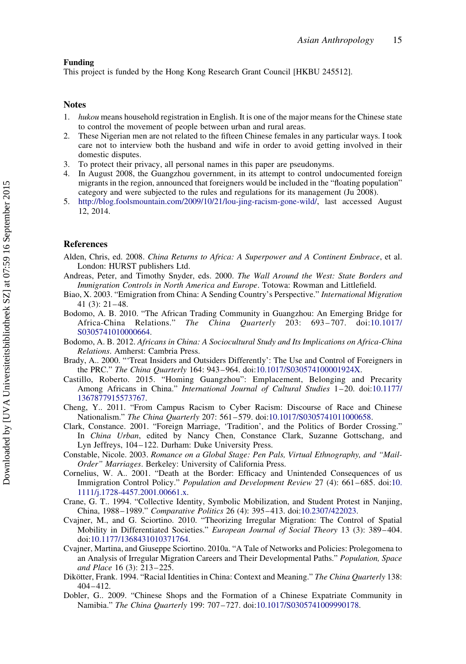#### <span id="page-15-0"></span>Funding

This project is funded by the Hong Kong Research Grant Council [HKBU 245512].

## Notes

- hukou means household registration in English. It is one of the major means for the Chinese state to control the movement of people between urban and rural areas.
- 2. These Nigerian men are not related to the fifteen Chinese females in any particular ways. I took care not to interview both the husband and wife in order to avoid getting involved in their domestic disputes.
- 3. To protect their privacy, all personal names in this paper are pseudonyms.
- 4. In August 2008, the Guangzhou government, in its attempt to control undocumented foreign migrants in the region, announced that foreigners would be included in the "floating population" category and were subjected to the rules and regulations for its management (Ju 2008).
- 5. [http://blog.foolsmountain.com/2009/10/21/lou-jing-racism-gone-wild/,](http://blog.foolsmountain.com/2009/10/21/lou-jing-racism-gone-wild/) last accessed August 12, 2014.

#### References

- Alden, Chris, ed. 2008. China Returns to Africa: A Superpower and A Continent Embrace, et al. London: HURST publishers Ltd.
- Andreas, Peter, and Timothy Snyder, eds. 2000. The Wall Around the West: State Borders and Immigration Controls in North America and Europe. Totowa: Rowman and Littlefield.
- Biao, X. 2003. "Emigration from China: A Sending Country's Perspective." International Migration 41 (3): 21 – 48.
- Bodomo, A. B. 2010. "The African Trading Community in Guangzhou: An Emerging Bridge for Africa-China Relations." The China Quarterly 203: 693-707. doi[:10.1017/](http://dx.doi.org/10.1017/S0305741010000664) [S0305741010000664.](http://dx.doi.org/10.1017/S0305741010000664)
- Bodomo, A. B. 2012. Africans in China: A Sociocultural Study and Its Implications on Africa-China Relations. Amherst: Cambria Press.
- Brady, A.. 2000. "'Treat Insiders and Outsiders Differently': The Use and Control of Foreigners in the PRC." The China Quarterly 164: 943– 964. doi[:10.1017/S030574100001924X.](http://dx.doi.org/10.1017/S030574100001924X)
- Castillo, Roberto. 2015. "Homing Guangzhou": Emplacement, Belonging and Precarity Among Africans in China." International Journal of Cultural Studies 1-20. doi[:10.1177/](http://dx.doi.org/10.1177/1367877915573767) [1367877915573767.](http://dx.doi.org/10.1177/1367877915573767)
- Cheng, Y.. 2011. "From Campus Racism to Cyber Racism: Discourse of Race and Chinese Nationalism." The China Quarterly 207: 561-579. doi:[10.1017/S0305741011000658.](http://dx.doi.org/10.1017/S0305741011000658)
- Clark, Constance. 2001. "Foreign Marriage, 'Tradition', and the Politics of Border Crossing." In China Urban, edited by Nancy Chen, Constance Clark, Suzanne Gottschang, and Lyn Jeffreys, 104 –122. Durham: Duke University Press.
- Constable, Nicole. 2003. Romance on a Global Stage: Pen Pals, Virtual Ethnography, and "Mail-Order" Marriages. Berkeley: University of California Press.
- Cornelius, W. A.. 2001. "Death at the Border: Efficacy and Unintended Consequences of us Immigration Control Policy." Population and Development Review 27 (4): 661– 685. doi:[10.](http://dx.doi.org/10.1111/j.1728-4457.2001.00661.x) [1111/j.1728-4457.2001.00661.x.](http://dx.doi.org/10.1111/j.1728-4457.2001.00661.x)
- Crane, G. T.. 1994. "Collective Identity, Symbolic Mobilization, and Student Protest in Nanjing, China, 1988– 1989." Comparative Politics 26 (4): 395–413. doi:[10.2307/422023](http://dx.doi.org/10.2307/422023).
- Cvajner, M., and G. Sciortino. 2010. "Theorizing Irregular Migration: The Control of Spatial Mobility in Differentiated Societies." European Journal of Social Theory 13 (3): 389-404. doi[:10.1177/1368431010371764.](http://dx.doi.org/10.1177/1368431010371764)
- Cvajner, Martina, and Giuseppe Sciortino. 2010a. "A Tale of Networks and Policies: Prolegomena to an Analysis of Irregular Migration Careers and Their Developmental Paths." Population, Space and Place 16 (3): 213– 225.
- Dikötter, Frank. 1994. "Racial Identities in China: Context and Meaning." The China Quarterly 138: 404– 412.
- Dobler, G.. 2009. "Chinese Shops and the Formation of a Chinese Expatriate Community in Namibia." The China Quarterly 199: 707– 727. doi:[10.1017/S0305741009990178](http://dx.doi.org/10.1017/S0305741009990178).

 $\sigma$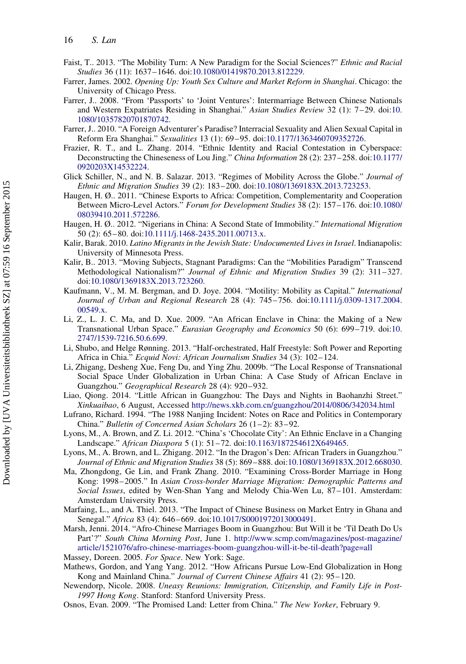- <span id="page-16-0"></span>Faist, T.. 2013. "The Mobility Turn: A New Paradigm for the Social Sciences?" Ethnic and Racial Studies 36 (11): 1637 –1646. doi:[10.1080/01419870.2013.812229](http://dx.doi.org/10.1080/01419870.2013.812229).
- Farrer, James. 2002. Opening Up: Youth Sex Culture and Market Reform in Shanghai. Chicago: the University of Chicago Press.
- Farrer, J.. 2008. "From 'Passports' to 'Joint Ventures': Intermarriage Between Chinese Nationals and Western Expatriates Residing in Shanghai." Asian Studies Review 32 (1): 7 – 29. doi:[10.](http://dx.doi.org/10.1080/10357820701870742) [1080/10357820701870742.](http://dx.doi.org/10.1080/10357820701870742)
- Farrer, J.. 2010. "A Foreign Adventurer's Paradise? Interracial Sexuality and Alien Sexual Capital in Reform Era Shanghai." Sexualities 13 (1): 69 – 95. doi:[10.1177/1363460709352726](http://dx.doi.org/10.1177/1363460709352726).
- Frazier, R. T., and L. Zhang. 2014. "Ethnic Identity and Racial Contestation in Cyberspace: Deconstructing the Chineseness of Lou Jing." China Information 28 (2): 237– 258. doi[:10.1177/](http://dx.doi.org/10.1177/0920203X14532224) [0920203X14532224.](http://dx.doi.org/10.1177/0920203X14532224)
- Glick Schiller, N., and N. B. Salazar. 2013. "Regimes of Mobility Across the Globe." Journal of Ethnic and Migration Studies 39 (2): 183– 200. doi:[10.1080/1369183X.2013.723253](http://dx.doi.org/10.1080/1369183X.2013.723253).
- Haugen, H. Ø.. 2011. "Chinese Exports to Africa: Competition, Complementarity and Cooperation Between Micro-Level Actors." Forum for Development Studies 38 (2): 157– 176. doi[:10.1080/](http://dx.doi.org/10.1080/08039410.2011.572286) [08039410.2011.572286](http://dx.doi.org/10.1080/08039410.2011.572286).
- Haugen, H. Ø.. 2012. "Nigerians in China: A Second State of Immobility." International Migration 50 (2): 65 – 80. doi:[10.1111/j.1468-2435.2011.00713.x](http://dx.doi.org/10.1111/j.1468-2435.2011.00713.x).
- Kalir, Barak. 2010. Latino Migrants in the Jewish State: Undocumented Lives in Israel. Indianapolis: University of Minnesota Press.
- Kalir, B.. 2013. "Moving Subjects, Stagnant Paradigms: Can the "Mobilities Paradigm" Transcend Methodological Nationalism?" Journal of Ethnic and Migration Studies 39 (2): 311 –327. doi[:10.1080/1369183X.2013.723260.](http://dx.doi.org/10.1080/1369183X.2013.723260)
- Kaufmann, V., M. M. Bergman, and D. Joye. 2004. "Motility: Mobility as Capital." International Journal of Urban and Regional Research 28 (4): 745– 756. doi[:10.1111/j.0309-1317.2004.](http://dx.doi.org/10.1111/j.0309-1317.2004.00549.x) [00549.x](http://dx.doi.org/10.1111/j.0309-1317.2004.00549.x).
- Li, Z., L. J. C. Ma, and D. Xue. 2009. "An African Enclave in China: the Making of a New Transnational Urban Space." Eurasian Geography and Economics 50 (6): 699-719. doi:[10.](http://dx.doi.org/10.2747/1539-7216.50.6.699) [2747/1539-7216.50.6.699](http://dx.doi.org/10.2747/1539-7216.50.6.699).
- Li, Shubo, and Helge Rønning. 2013. "Half-orchestrated, Half Freestyle: Soft Power and Reporting Africa in Chia." Ecquid Novi: African Journalism Studies 34 (3): 102-124.
- Li, Zhigang, Desheng Xue, Feng Du, and Ying Zhu. 2009b. "The Local Response of Transnational Social Space Under Globalization in Urban China: A Case Study of African Enclave in Guangzhou." Geographical Research 28 (4): 920-932.
- Liao, Qiong. 2014. "Little African in Guangzhou: The Days and Nights in Baohanzhi Street." Xinkuaibao, 6 August, Accessed <http://news.xkb.com.cn/guangzhou/2014/0806/342034.html>
- Lufrano, Richard. 1994. "The 1988 Nanjing Incident: Notes on Race and Politics in Contemporary China." Bulletin of Concerned Asian Scholars  $26(1-2)$ : 83-92.
- Lyons, M., A. Brown, and Z. Li. 2012. "China's 'Chocolate City': An Ethnic Enclave in a Changing Landscape." African Diaspora 5 (1): 51 –72. doi:[10.1163/187254612X649465](http://dx.doi.org/10.1163/187254612X649465).
- Lyons, M., A. Brown, and L. Zhigang. 2012. "In the Dragon's Den: African Traders in Guangzhou." Journal of Ethnic and Migration Studies 38 (5): 869– 888. doi:[10.1080/1369183X.2012.668030.](http://dx.doi.org/10.1080/1369183X.2012.668030)
- Ma, Zhongdong, Ge Lin, and Frank Zhang. 2010. "Examining Cross-Border Marriage in Hong Kong: 1998-2005." In Asian Cross-border Marriage Migration: Demographic Patterns and Social Issues, edited by Wen-Shan Yang and Melody Chia-Wen Lu, 87-101. Amsterdam: Amsterdam University Press.
- Marfaing, L., and A. Thiel. 2013. "The Impact of Chinese Business on Market Entry in Ghana and Senegal." Africa 83 (4): 646–669. doi[:10.1017/S0001972013000491](http://dx.doi.org/10.1017/S0001972013000491).
- Marsh, Jenni. 2014. "Afro-Chinese Marriages Boom in Guangzhou: But Will it be 'Til Death Do Us Part'?" South China Morning Post, June 1. [http://www.scmp.com/magazines/post-magazine/](http://www.scmp.com/magazines/post-magazine/article/1521076/afro-chinese-marriages-boom-guangzhou-will-it-be-til-death?page=all) [article/1521076/afro-chinese-marriages-boom-guangzhou-will-it-be-til-death?page=all](http://www.scmp.com/magazines/post-magazine/article/1521076/afro-chinese-marriages-boom-guangzhou-will-it-be-til-death?page=all)
- Massey, Doreen. 2005. For Space. New York: Sage.
- Mathews, Gordon, and Yang Yang. 2012. "How Africans Pursue Low-End Globalization in Hong Kong and Mainland China." Journal of Current Chinese Affairs 41 (2): 95-120.
- Newendorp, Nicole. 2008. Uneasy Reunions: Immigration, Citizenship, and Family Life in Post-1997 Hong Kong. Stanford: Stanford University Press.
- Osnos, Evan. 2009. "The Promised Land: Letter from China." The New Yorker, February 9.